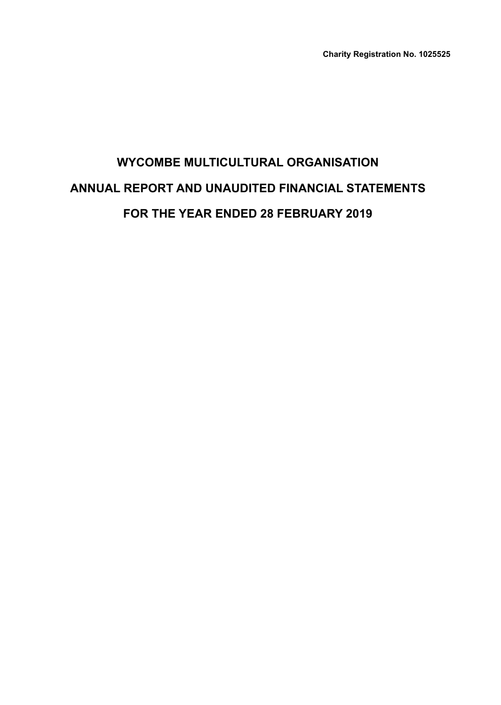**Charity Registration No. 1025525**

# **WYCOMBE MULTICULTURAL ORGANISATION ANNUAL REPORT AND UNAUDITED FINANCIAL STATEMENTS FOR THE YEAR ENDED 28 FEBRUARY 2019**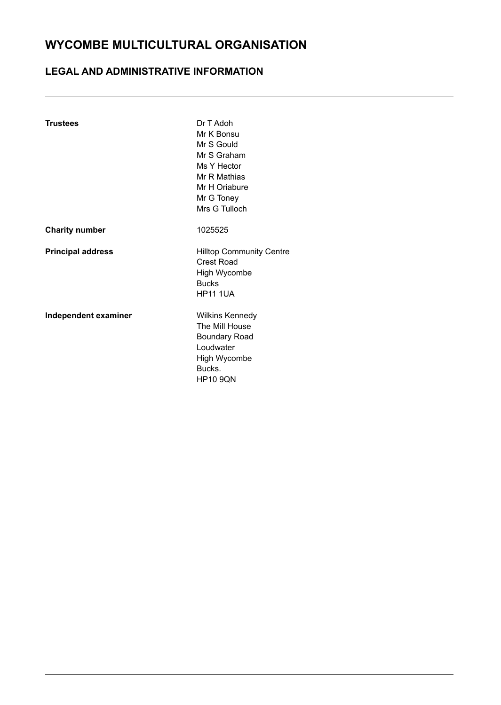### **LEGAL AND ADMINISTRATIVE INFORMATION**

| Dr T Adoh<br>Mr K Bonsu<br>Mr S Gould<br>Mr S Graham<br>Ms Y Hector<br>Mr R Mathias<br>Mr H Oriabure<br>Mr G Toney<br>Mrs G Tulloch |
|-------------------------------------------------------------------------------------------------------------------------------------|
| 1025525                                                                                                                             |
| <b>Hilltop Community Centre</b><br>Crest Road<br>High Wycombe<br><b>Bucks</b><br><b>HP11 1UA</b>                                    |
| <b>Wilkins Kennedy</b><br>The Mill House<br><b>Boundary Road</b><br>Loudwater<br>High Wycombe<br>Bucks.<br><b>HP10 9QN</b>          |
|                                                                                                                                     |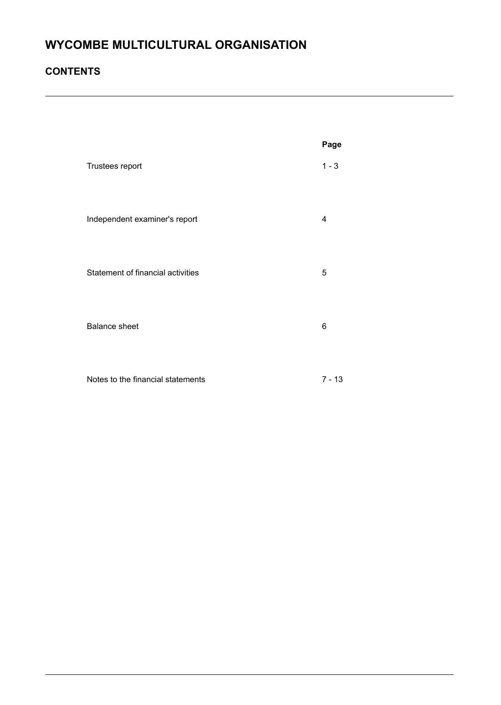### **CONTENTS**

|                                   | Page     |
|-----------------------------------|----------|
| Trustees report                   | $1 - 3$  |
| Independent examiner's report     | 4        |
| Statement of financial activities | 5        |
| <b>Balance sheet</b>              | 6        |
| Notes to the financial statements | $7 - 13$ |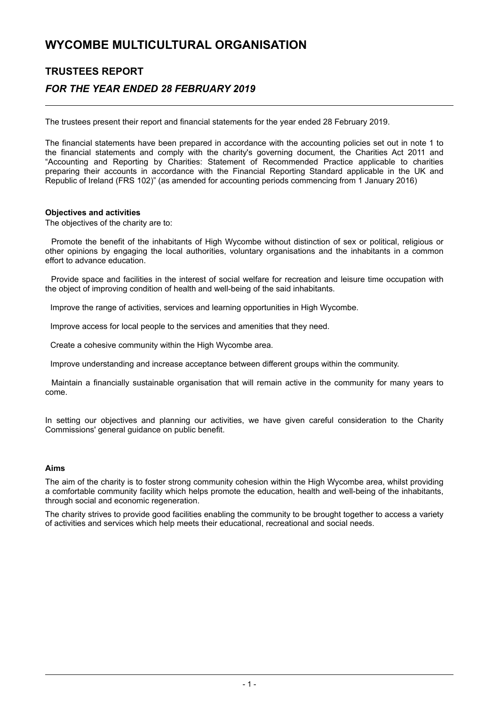### **TRUSTEES REPORT** *FOR THE YEAR ENDED 28 FEBRUARY 2019*

The trustees present their report and financial statements for the year ended 28 February 2019.

The financial statements have been prepared in accordance with the accounting policies set out in note 1 to the financial statements and comply with the charity's governing document, the Charities Act 2011 and "Accounting and Reporting by Charities: Statement of Recommended Practice applicable to charities preparing their accounts in accordance with the Financial Reporting Standard applicable in the UK and Republic of Ireland (FRS 102)" (as amended for accounting periods commencing from 1 January 2016)

#### **Objectives and activities**

The objectives of the charity are to:

Promote the benefit of the inhabitants of High Wycombe without distinction of sex or political, religious or other opinions by engaging the local authorities, voluntary organisations and the inhabitants in a common effort to advance education.

Provide space and facilities in the interest of social welfare for recreation and leisure time occupation with the object of improving condition of health and well-being of the said inhabitants.

Improve the range of activities, services and learning opportunities in High Wycombe.

Improve access for local people to the services and amenities that they need.

Create a cohesive community within the High Wycombe area.

Improve understanding and increase acceptance between different groups within the community.

Maintain a financially sustainable organisation that will remain active in the community for many years to come.

In setting our objectives and planning our activities, we have given careful consideration to the Charity Commissions' general guidance on public benefit.

#### **Aims**

The aim of the charity is to foster strong community cohesion within the High Wycombe area, whilst providing a comfortable community facility which helps promote the education, health and well-being of the inhabitants, through social and economic regeneration.

The charity strives to provide good facilities enabling the community to be brought together to access a variety of activities and services which help meets their educational, recreational and social needs.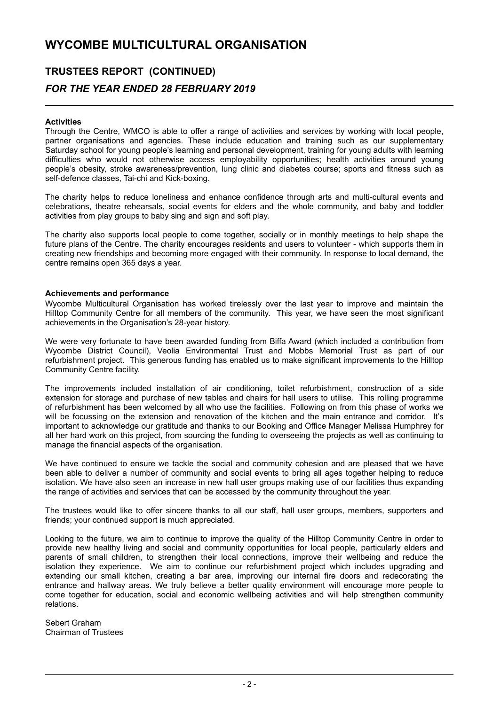# **TRUSTEES REPORT (CONTINUED)** *FOR THE YEAR ENDED 28 FEBRUARY 2019*

#### **Activities**

Through the Centre, WMCO is able to offer a range of activities and services by working with local people, partner organisations and agencies. These include education and training such as our supplementary Saturday school for young people's learning and personal development, training for young adults with learning difficulties who would not otherwise access employability opportunities; health activities around young people's obesity, stroke awareness/prevention, lung clinic and diabetes course; sports and fitness such as self-defence classes, Tai-chi and Kick-boxing.

The charity helps to reduce loneliness and enhance confidence through arts and multi-cultural events and celebrations, theatre rehearsals, social events for elders and the whole community, and baby and toddler activities from play groups to baby sing and sign and soft play.

The charity also supports local people to come together, socially or in monthly meetings to help shape the future plans of the Centre. The charity encourages residents and users to volunteer - which supports them in creating new friendships and becoming more engaged with their community. In response to local demand, the centre remains open 365 days a year.

#### **Achievements and performance**

Wycombe Multicultural Organisation has worked tirelessly over the last year to improve and maintain the Hilltop Community Centre for all members of the community. This year, we have seen the most significant achievements in the Organisation's 28-year history.

We were very fortunate to have been awarded funding from Biffa Award (which included a contribution from Wycombe District Council), Veolia Environmental Trust and Mobbs Memorial Trust as part of our refurbishment project. This generous funding has enabled us to make significant improvements to the Hilltop Community Centre facility.

The improvements included installation of air conditioning, toilet refurbishment, construction of a side extension for storage and purchase of new tables and chairs for hall users to utilise. This rolling programme of refurbishment has been welcomed by all who use the facilities. Following on from this phase of works we will be focussing on the extension and renovation of the kitchen and the main entrance and corridor. It's important to acknowledge our gratitude and thanks to our Booking and Office Manager Melissa Humphrey for all her hard work on this project, from sourcing the funding to overseeing the projects as well as continuing to manage the financial aspects of the organisation.

We have continued to ensure we tackle the social and community cohesion and are pleased that we have been able to deliver a number of community and social events to bring all ages together helping to reduce isolation. We have also seen an increase in new hall user groups making use of our facilities thus expanding the range of activities and services that can be accessed by the community throughout the year.

The trustees would like to offer sincere thanks to all our staff, hall user groups, members, supporters and friends; your continued support is much appreciated.

Looking to the future, we aim to continue to improve the quality of the Hilltop Community Centre in order to provide new healthy living and social and community opportunities for local people, particularly elders and parents of small children, to strengthen their local connections, improve their wellbeing and reduce the isolation they experience. We aim to continue our refurbishment project which includes upgrading and extending our small kitchen, creating a bar area, improving our internal fire doors and redecorating the entrance and hallway areas. We truly believe a better quality environment will encourage more people to come together for education, social and economic wellbeing activities and will help strengthen community relations.

Sebert Graham Chairman of Trustees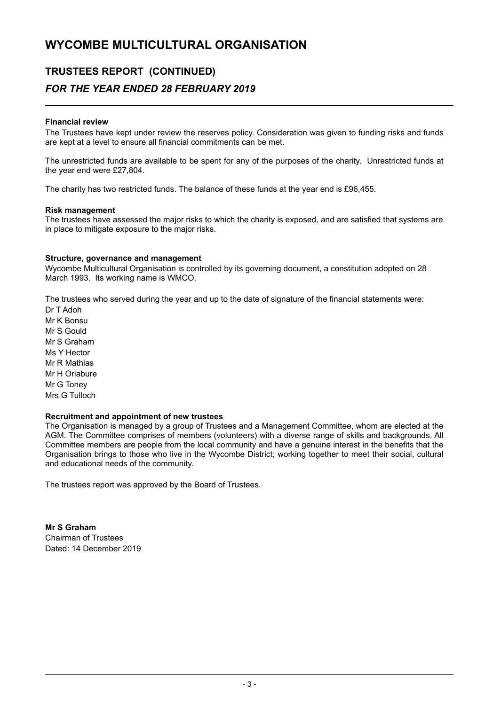### **TRUSTEES REPORT (CONTINUED)**

### *FOR THE YEAR ENDED 28 FEBRUARY 2019*

#### **Financial review**

The Trustees have kept under review the reserves policy. Consideration was given to funding risks and funds are kept at a level to ensure all financial commitments can be met.

The unrestricted funds are available to be spent for any of the purposes of the charity. Unrestricted funds at the year end were £27,804.

The charity has two restricted funds. The balance of these funds at the year end is £96,455.

#### **Risk management**

The trustees have assessed the major risks to which the charity is exposed, and are satisfied that systems are in place to mitigate exposure to the major risks.

#### **Structure, governance and management**

Wycombe Multicultural Organisation is controlled by its governing document, a constitution adopted on 28 March 1993. Its working name is WMCO.

The trustees who served during the year and up to the date of signature of the financial statements were:

Dr T Adoh Mr K Bonsu Mr S Gould Mr S Graham Ms Y Hector Mr R Mathias Mr H Oriabure Mr G Toney Mrs G Tulloch

#### **Recruitment and appointment of new trustees**

The Organisation is managed by a group of Trustees and a Management Committee, whom are elected at the AGM. The Committee comprises of members (volunteers) with a diverse range of skills and backgrounds. All Committee members are people from the local community and have a genuine interest in the benefits that the Organisation brings to those who live in the Wycombe District; working together to meet their social, cultural and educational needs of the community.

The trustees report was approved by the Board of Trustees.

**Mr S Graham** Chairman of Trustees Dated: 14 December 2019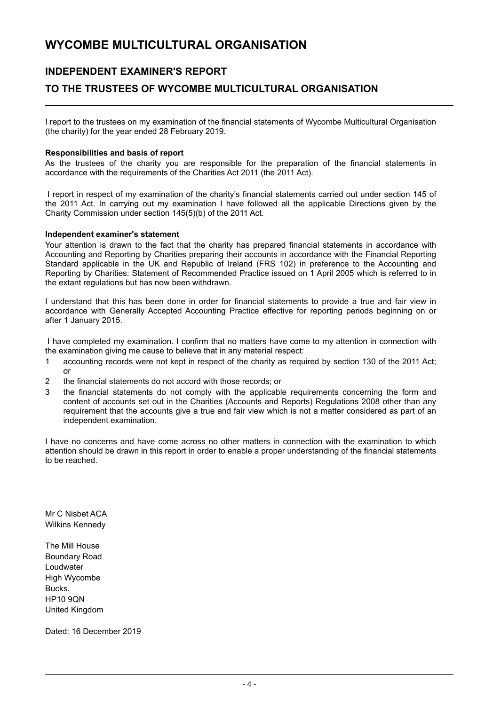### **INDEPENDENT EXAMINER'S REPORT**

### **TO THE TRUSTEES OF WYCOMBE MULTICULTURAL ORGANISATION**

I report to the trustees on my examination of the financial statements of Wycombe Multicultural Organisation (the charity) for the year ended 28 February 2019.

#### **Responsibilities and basis of report**

As the trustees of the charity you are responsible for the preparation of the financial statements in accordance with the requirements of the Charities Act 2011 (the 2011 Act).

I report in respect of my examination of the charity's financial statements carried out under section 145 of the 2011 Act. In carrying out my examination I have followed all the applicable Directions given by the Charity Commission under section 145(5)(b) of the 2011 Act.

#### **Independent examiner's statement**

Your attention is drawn to the fact that the charity has prepared financial statements in accordance with Accounting and Reporting by Charities preparing their accounts in accordance with the Financial Reporting Standard applicable in the UK and Republic of Ireland (FRS 102) in preference to the Accounting and Reporting by Charities: Statement of Recommended Practice issued on 1 April 2005 which is referred to in the extant regulations but has now been withdrawn.

I understand that this has been done in order for financial statements to provide a true and fair view in accordance with Generally Accepted Accounting Practice effective for reporting periods beginning on or after 1 January 2015.

I have completed my examination. I confirm that no matters have come to my attention in connection with the examination giving me cause to believe that in any material respect:

- 1 accounting records were not kept in respect of the charity as required by section 130 of the 2011 Act; or
- 2 the financial statements do not accord with those records; or
- 3 the financial statements do not comply with the applicable requirements concerning the form and content of accounts set out in the Charities (Accounts and Reports) Regulations 2008 other than any requirement that the accounts give a true and fair view which is not a matter considered as part of an independent examination.

I have no concerns and have come across no other matters in connection with the examination to which attention should be drawn in this report in order to enable a proper understanding of the financial statements to be reached.

Mr C Nisbet ACA Wilkins Kennedy

The Mill House Boundary Road Loudwater High Wycombe Bucks. HP10 9QN United Kingdom

Dated: 16 December 2019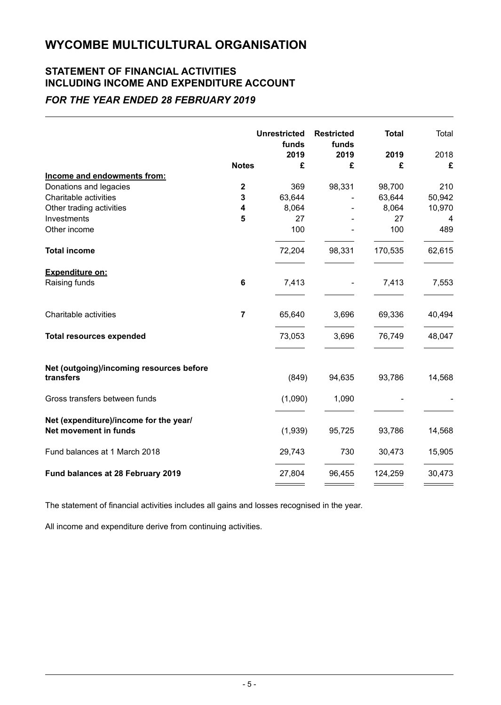# **STATEMENT OF FINANCIAL ACTIVITIES INCLUDING INCOME AND EXPENDITURE ACCOUNT**

### *FOR THE YEAR ENDED 28 FEBRUARY 2019*

|                                                                 |                | <b>Unrestricted</b><br>funds<br>2019 | <b>Restricted</b><br>funds<br>2019 | <b>Total</b><br>2019 | Total<br>2018 |
|-----------------------------------------------------------------|----------------|--------------------------------------|------------------------------------|----------------------|---------------|
|                                                                 | <b>Notes</b>   | £                                    | £                                  | £                    | £             |
| Income and endowments from:                                     |                |                                      |                                    |                      |               |
| Donations and legacies                                          | $\mathbf 2$    | 369                                  | 98,331                             | 98,700               | 210           |
| Charitable activities                                           | 3              | 63,644                               |                                    | 63,644               | 50,942        |
| Other trading activities                                        | 4              | 8,064                                |                                    | 8,064                | 10,970        |
| Investments                                                     | 5              | 27                                   |                                    | 27                   | 4             |
| Other income                                                    |                | 100                                  |                                    | 100                  | 489           |
| <b>Total income</b>                                             |                | 72,204                               | 98,331                             | 170,535              | 62,615        |
| Expenditure on:                                                 |                |                                      |                                    |                      |               |
| Raising funds                                                   | 6              | 7,413                                |                                    | 7,413                | 7,553         |
| Charitable activities                                           | $\overline{7}$ | 65,640                               | 3,696                              | 69,336               | 40,494        |
| <b>Total resources expended</b>                                 |                | 73,053                               | 3,696                              | 76,749               | 48,047        |
| Net (outgoing)/incoming resources before<br>transfers           |                | (849)                                | 94,635                             | 93,786               | 14,568        |
| Gross transfers between funds                                   |                | (1,090)                              | 1,090                              |                      |               |
| Net (expenditure)/income for the year/<br>Net movement in funds |                | (1,939)                              | 95,725                             | 93,786               | 14,568        |
| Fund balances at 1 March 2018                                   |                | 29,743                               | 730                                | 30,473               | 15,905        |
| Fund balances at 28 February 2019                               |                | 27,804                               | 96,455                             | 124,259              | 30,473        |

The statement of financial activities includes all gains and losses recognised in the year.

All income and expenditure derive from continuing activities.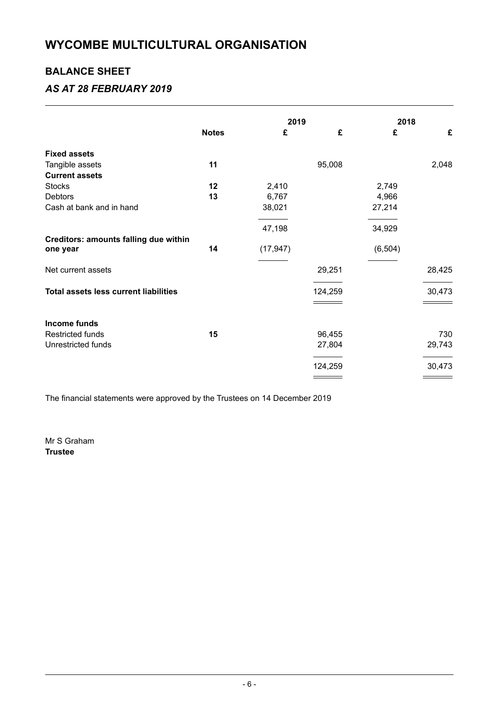### **BALANCE SHEET**

### *AS AT 28 FEBRUARY 2019*

|                                              |              | 2019      |         | 2018     |        |
|----------------------------------------------|--------------|-----------|---------|----------|--------|
|                                              | <b>Notes</b> | £         | £       | £        | £      |
| <b>Fixed assets</b>                          |              |           |         |          |        |
| Tangible assets                              | 11           |           | 95,008  |          | 2,048  |
| <b>Current assets</b>                        |              |           |         |          |        |
| <b>Stocks</b>                                | 12           | 2,410     |         | 2,749    |        |
| Debtors                                      | 13           | 6,767     |         | 4,966    |        |
| Cash at bank and in hand                     |              | 38,021    |         | 27,214   |        |
|                                              |              | 47,198    |         | 34,929   |        |
| Creditors: amounts falling due within        |              |           |         |          |        |
| one year                                     | 14           | (17, 947) |         | (6, 504) |        |
| Net current assets                           |              |           | 29,251  |          | 28,425 |
| <b>Total assets less current liabilities</b> |              |           | 124,259 |          | 30,473 |
|                                              |              |           |         |          |        |
| Income funds                                 |              |           |         |          |        |
| <b>Restricted funds</b>                      | 15           |           | 96,455  |          | 730    |
| <b>Unrestricted funds</b>                    |              |           | 27,804  |          | 29,743 |
|                                              |              |           | 124,259 |          | 30,473 |
|                                              |              |           |         |          |        |

The financial statements were approved by the Trustees on 14 December 2019

Mr S Graham **Trustee**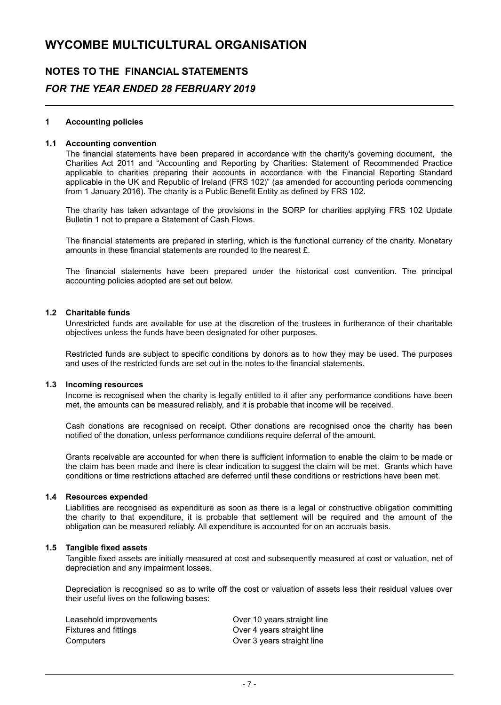# **NOTES TO THE FINANCIAL STATEMENTS** *FOR THE YEAR ENDED 28 FEBRUARY 2019*

#### **1 Accounting policies**

#### **1.1 Accounting convention**

The financial statements have been prepared in accordance with the charity's governing document, the Charities Act 2011 and "Accounting and Reporting by Charities: Statement of Recommended Practice applicable to charities preparing their accounts in accordance with the Financial Reporting Standard applicable in the UK and Republic of Ireland (FRS 102)" (as amended for accounting periods commencing from 1 January 2016). The charity is a Public Benefit Entity as defined by FRS 102.

The charity has taken advantage of the provisions in the SORP for charities applying FRS 102 Update Bulletin 1 not to prepare a Statement of Cash Flows.

The financial statements are prepared in sterling, which is the functional currency of the charity. Monetary amounts in these financial statements are rounded to the nearest £.

The financial statements have been prepared under the historical cost convention. The principal accounting policies adopted are set out below.

#### **1.2 Charitable funds**

Unrestricted funds are available for use at the discretion of the trustees in furtherance of their charitable objectives unless the funds have been designated for other purposes.

Restricted funds are subject to specific conditions by donors as to how they may be used. The purposes and uses of the restricted funds are set out in the notes to the financial statements.

#### **1.3 Incoming resources**

Income is recognised when the charity is legally entitled to it after any performance conditions have been met, the amounts can be measured reliably, and it is probable that income will be received.

Cash donations are recognised on receipt. Other donations are recognised once the charity has been notified of the donation, unless performance conditions require deferral of the amount.

Grants receivable are accounted for when there is sufficient information to enable the claim to be made or the claim has been made and there is clear indication to suggest the claim will be met. Grants which have conditions or time restrictions attached are deferred until these conditions or restrictions have been met.

#### **1.4 Resources expended**

Liabilities are recognised as expenditure as soon as there is a legal or constructive obligation committing the charity to that expenditure, it is probable that settlement will be required and the amount of the obligation can be measured reliably. All expenditure is accounted for on an accruals basis.

#### **1.5 Tangible fixed assets**

Tangible fixed assets are initially measured at cost and subsequently measured at cost or valuation, net of depreciation and any impairment losses.

Depreciation is recognised so as to write off the cost or valuation of assets less their residual values over their useful lives on the following bases:

| Leasehold improvements | Over 10 years straight line |
|------------------------|-----------------------------|
| Fixtures and fittings  | Over 4 years straight line  |
| Computers              | Over 3 years straight line  |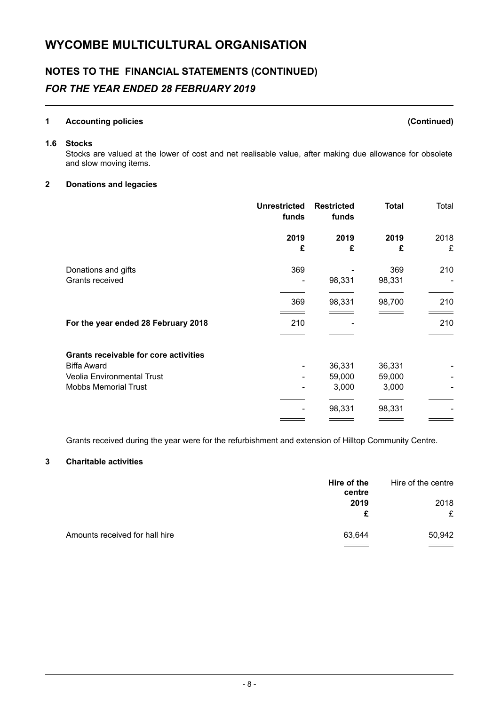# **NOTES TO THE FINANCIAL STATEMENTS (CONTINUED)** *FOR THE YEAR ENDED 28 FEBRUARY 2019*

#### **1 Accounting policies (Continued)**

#### **1.6 Stocks**

Stocks are valued at the lower of cost and net realisable value, after making due allowance for obsolete and slow moving items.

#### **2 Donations and legacies**

|                                              | <b>Unrestricted</b><br>funds | <b>Restricted</b><br>funds | <b>Total</b> | Total |
|----------------------------------------------|------------------------------|----------------------------|--------------|-------|
|                                              | 2019                         | 2019                       | 2019         | 2018  |
|                                              | £                            | £                          | £            | £     |
| Donations and gifts                          | 369                          |                            | 369          | 210   |
| Grants received                              |                              | 98,331                     | 98,331       |       |
|                                              | 369                          | 98,331                     | 98,700       | 210   |
| For the year ended 28 February 2018          | 210                          |                            |              | 210   |
|                                              |                              |                            |              |       |
| <b>Grants receivable for core activities</b> |                              |                            |              |       |
| <b>Biffa Award</b>                           |                              | 36,331                     | 36,331       |       |
| <b>Veolia Environmental Trust</b>            |                              | 59,000                     | 59,000       |       |
| <b>Mobbs Memorial Trust</b>                  |                              | 3,000                      | 3,000        |       |
|                                              |                              | 98,331                     | 98,331       |       |
|                                              |                              |                            |              |       |

Grants received during the year were for the refurbishment and extension of Hilltop Community Centre.

#### **3 Charitable activities**

|                                | Hire of the<br>centre | Hire of the centre |
|--------------------------------|-----------------------|--------------------|
|                                | 2019                  | 2018               |
|                                | £                     | £                  |
| Amounts received for hall hire | 63,644                | 50,942             |
|                                |                       |                    |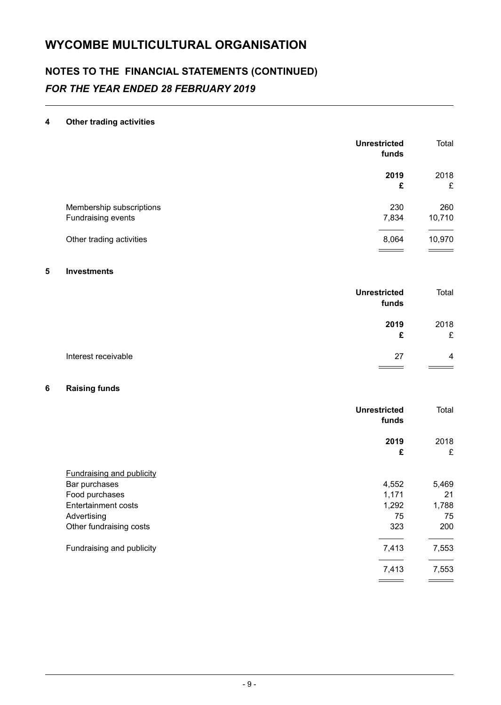# **NOTES TO THE FINANCIAL STATEMENTS (CONTINUED)** *FOR THE YEAR ENDED 28 FEBRUARY 2019*

#### **4 Other trading activities**

|                          | <b>Unrestricted</b><br>funds | Total  |
|--------------------------|------------------------------|--------|
|                          | 2019                         | 2018   |
|                          | £                            | £      |
| Membership subscriptions | 230                          | 260    |
| Fundraising events       | 7,834                        | 10,710 |
|                          |                              |        |
| Other trading activities | 8,064                        | 10,970 |
|                          |                              |        |

#### **5 Investments**

|                     | <b>Unrestricted</b><br>funds | Total          |
|---------------------|------------------------------|----------------|
|                     | 2019                         | 2018           |
|                     | £                            | £              |
| Interest receivable | 27                           | $\overline{4}$ |
|                     |                              |                |

#### **6 Raising funds**

|                                  | <b>Unrestricted</b><br>funds | Total     |
|----------------------------------|------------------------------|-----------|
|                                  | 2019<br>£                    | 2018<br>£ |
| <b>Fundraising and publicity</b> |                              |           |
| Bar purchases                    | 4,552                        | 5,469     |
| Food purchases                   | 1,171                        | 21        |
| <b>Entertainment costs</b>       | 1,292                        | 1,788     |
| Advertising                      | 75                           | 75        |
| Other fundraising costs          | 323                          | 200       |
| Fundraising and publicity        | 7,413                        | 7,553     |
|                                  | 7,413                        | 7,553     |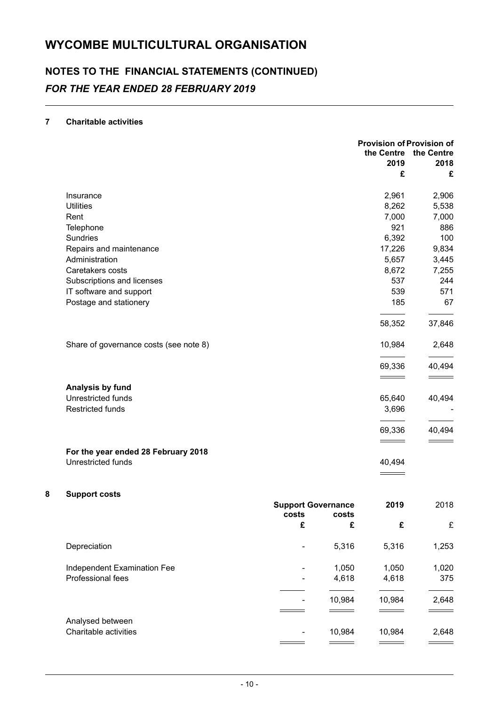# **NOTES TO THE FINANCIAL STATEMENTS (CONTINUED)** *FOR THE YEAR ENDED 28 FEBRUARY 2019*

#### **7 Charitable activities**

|                                        |                           | <b>Provision of Provision of</b><br>the Centre<br>2019 | the Centre<br>2018 |
|----------------------------------------|---------------------------|--------------------------------------------------------|--------------------|
|                                        |                           | £                                                      | £                  |
| Insurance                              |                           | 2,961                                                  | 2,906              |
| <b>Utilities</b>                       |                           | 8,262                                                  | 5,538              |
| Rent                                   |                           | 7,000                                                  | 7,000              |
| Telephone                              |                           | 921                                                    | 886                |
| <b>Sundries</b>                        |                           | 6,392                                                  | 100                |
| Repairs and maintenance                |                           | 17,226                                                 | 9,834              |
| Administration                         |                           | 5,657                                                  | 3,445              |
| Caretakers costs                       |                           | 8,672                                                  | 7,255              |
| Subscriptions and licenses             |                           | 537                                                    | 244                |
| IT software and support                |                           | 539                                                    | 571                |
| Postage and stationery                 |                           | 185                                                    | 67                 |
|                                        |                           | 58,352                                                 | 37,846             |
| Share of governance costs (see note 8) |                           | 10,984                                                 | 2,648              |
|                                        |                           | 69,336                                                 | 40,494             |
|                                        |                           |                                                        |                    |
| Analysis by fund                       |                           |                                                        |                    |
| Unrestricted funds                     |                           | 65,640                                                 | 40,494             |
| <b>Restricted funds</b>                |                           | 3,696                                                  |                    |
|                                        |                           | 69,336                                                 | 40,494             |
|                                        |                           |                                                        |                    |
| For the year ended 28 February 2018    |                           |                                                        |                    |
| Unrestricted funds                     |                           | 40,494                                                 |                    |
|                                        |                           |                                                        |                    |
| <b>Support costs</b>                   |                           |                                                        |                    |
|                                        | <b>Support Governance</b> | 2019                                                   | 2018               |

|                             | costs | <b>Support Governance</b><br>costs |        | 2018  |
|-----------------------------|-------|------------------------------------|--------|-------|
|                             | £     | £                                  | £      | £     |
| Depreciation                |       | 5,316                              | 5,316  | 1,253 |
| Independent Examination Fee |       | 1,050                              | 1,050  | 1,020 |
| Professional fees           | ۰     | 4,618                              | 4,618  | 375   |
|                             |       | 10,984                             | 10,984 | 2,648 |
| Analysed between            |       |                                    |        |       |
| Charitable activities       | ۰     | 10,984                             | 10,984 | 2,648 |
|                             |       |                                    |        |       |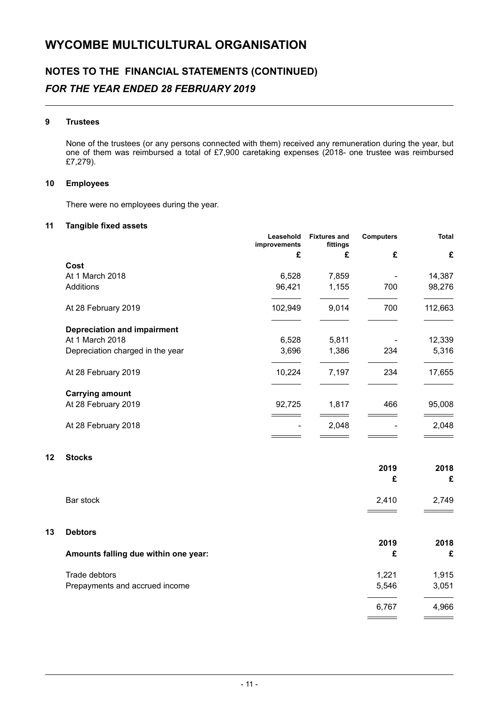# **NOTES TO THE FINANCIAL STATEMENTS (CONTINUED)** *FOR THE YEAR ENDED 28 FEBRUARY 2019*

#### **9 Trustees**

None of the trustees (or any persons connected with them) received any remuneration during the year, but one of them was reimbursed a total of £7,900 caretaking expenses (2018- one trustee was reimbursed £7,279).

#### **10 Employees**

There were no employees during the year.

#### **11 Tangible fixed assets**

|                                    | Leasehold<br>improvements | <b>Fixtures and</b><br>fittings | <b>Computers</b> | <b>Total</b> |
|------------------------------------|---------------------------|---------------------------------|------------------|--------------|
|                                    | £                         | £                               | £                | £            |
| Cost                               |                           |                                 |                  |              |
| At 1 March 2018                    | 6,528                     | 7,859                           |                  | 14,387       |
| <b>Additions</b>                   | 96,421                    | 1,155                           | 700              | 98,276       |
| At 28 February 2019                | 102,949                   | 9,014                           | 700              | 112,663      |
| <b>Depreciation and impairment</b> |                           |                                 |                  |              |
| At 1 March 2018                    | 6,528                     | 5,811                           |                  | 12,339       |
| Depreciation charged in the year   | 3,696                     | 1,386                           | 234              | 5,316        |
| At 28 February 2019                | 10,224                    | 7,197                           | 234              | 17,655       |
| <b>Carrying amount</b>             |                           |                                 |                  |              |
| At 28 February 2019                | 92,725                    | 1,817                           | 466              | 95,008       |
| At 28 February 2018                |                           | 2,048                           |                  | 2,048        |
|                                    |                           |                                 |                  |              |

#### **12 Stocks**

|    |                                      | 2019<br>£ | 2018<br>£ |
|----|--------------------------------------|-----------|-----------|
|    | Bar stock                            | 2,410     | 2,749     |
| 13 | <b>Debtors</b>                       |           |           |
|    | Amounts falling due within one year: | 2019<br>£ | 2018<br>£ |
|    | Trade debtors                        | 1,221     | 1,915     |
|    | Prepayments and accrued income       | 5,546     | 3,051     |
|    |                                      | 6,767     | 4,966     |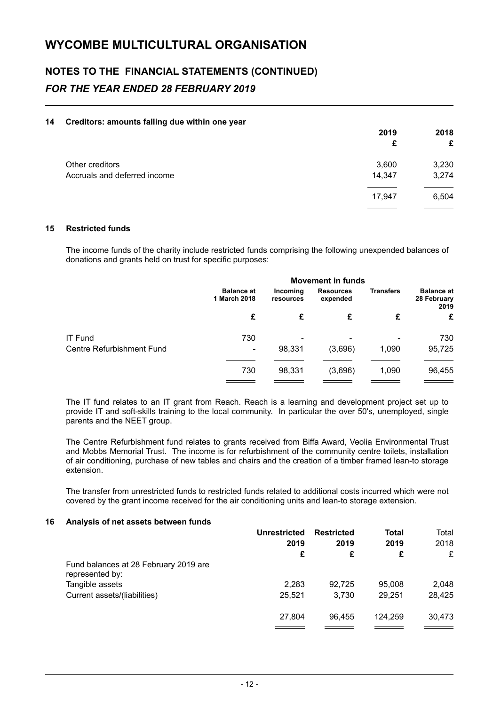# **NOTES TO THE FINANCIAL STATEMENTS (CONTINUED)** *FOR THE YEAR ENDED 28 FEBRUARY 2019*

#### **14 Creditors: amounts falling due within one year**

|                                                 | 2019<br>£       | 2018<br>£      |
|-------------------------------------------------|-----------------|----------------|
| Other creditors<br>Accruals and deferred income | 3,600<br>14,347 | 3,230<br>3,274 |
|                                                 | 17,947          | 6,504          |

#### **15 Restricted funds**

The income funds of the charity include restricted funds comprising the following unexpended balances of donations and grants held on trust for specific purposes:

|                           | <b>Movement in funds</b>          |                       |                              |                  |                                          |
|---------------------------|-----------------------------------|-----------------------|------------------------------|------------------|------------------------------------------|
|                           | <b>Balance at</b><br>1 March 2018 | Incoming<br>resources | <b>Resources</b><br>expended | <b>Transfers</b> | <b>Balance at</b><br>28 February<br>2019 |
|                           | £                                 | £                     | £                            | £                | £                                        |
| <b>IT Fund</b>            | 730                               | ۰                     |                              |                  | 730                                      |
| Centre Refurbishment Fund | ۰                                 | 98,331                | (3,696)                      | 1,090            | 95,725                                   |
|                           | 730                               | 98,331                | (3,696)                      | 1,090            | 96,455                                   |
|                           |                                   |                       |                              |                  |                                          |

The IT fund relates to an IT grant from Reach. Reach is a learning and development project set up to provide IT and soft-skills training to the local community. In particular the over 50's, unemployed, single parents and the NEET group.

The Centre Refurbishment fund relates to grants received from Biffa Award, Veolia Environmental Trust and Mobbs Memorial Trust. The income is for refurbishment of the community centre toilets, installation of air conditioning, purchase of new tables and chairs and the creation of a timber framed lean-to storage extension.

The transfer from unrestricted funds to restricted funds related to additional costs incurred which were not covered by the grant income received for the air conditioning units and lean-to storage extension.

#### **16 Analysis of net assets between funds**

|                                                          | Unrestricted<br>2019<br>£ | <b>Restricted</b><br>2019 |           |           | <b>Total</b> | Total |
|----------------------------------------------------------|---------------------------|---------------------------|-----------|-----------|--------------|-------|
|                                                          |                           |                           | 2019<br>£ | 2018<br>£ |              |       |
|                                                          |                           | £                         |           |           |              |       |
| Fund balances at 28 February 2019 are<br>represented by: |                           |                           |           |           |              |       |
| Tangible assets                                          | 2,283                     | 92.725                    | 95,008    | 2,048     |              |       |
| Current assets/(liabilities)                             | 25,521                    | 3.730                     | 29,251    | 28,425    |              |       |
|                                                          | 27.804                    | 96.455                    | 124.259   | 30,473    |              |       |
|                                                          |                           |                           |           |           |              |       |